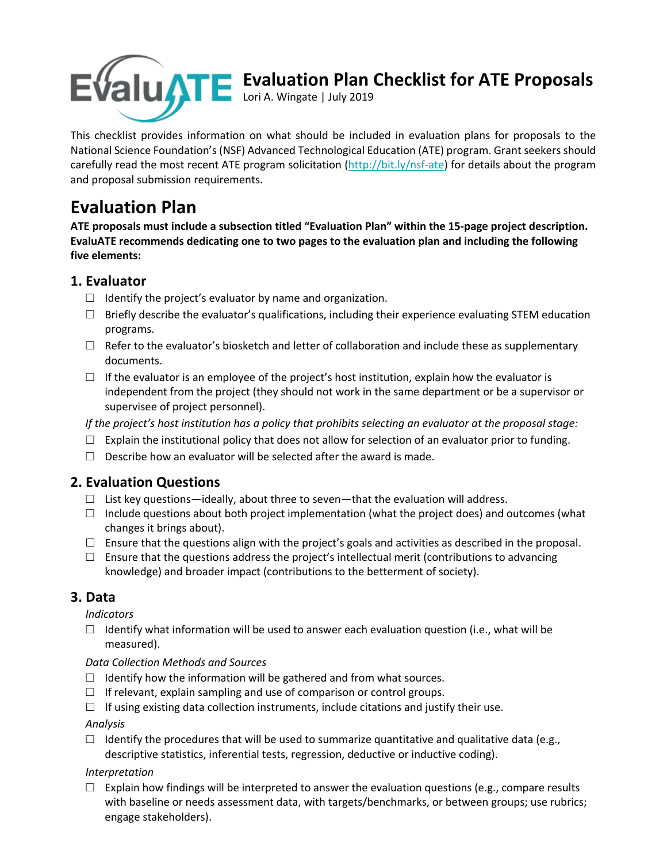

# **Evaluation Plan Checklist for ATE Proposals**

Lori A. Wingate | July 2019

This checklist provides information on what should be included in evaluation plans for proposals to the National Science Foundation's (NSF) Advanced Technological Education (ATE) program. Grant seekers should carefully read the most recent ATE program solicitation (http://bit.ly/nsf-ate) for details about the program and proposal submission requirements.

## **Evaluation Plan**

**ATE proposals must include a subsection titled "Evaluation Plan" within the 15-page project description. EvaluATE recommends dedicating one to two pages to the evaluation plan and including the following five elements:**

## **1. Evaluator**

- $\Box$  Identify the project's evaluator by name and organization.
- $\Box$  Briefly describe the evaluator's qualifications, including their experience evaluating STEM education programs.
- $\Box$  Refer to the evaluator's biosketch and letter of collaboration and include these as supplementary documents.
- $\Box$  If the evaluator is an employee of the project's host institution, explain how the evaluator is independent from the project (they should not work in the same department or be a supervisor or supervisee of project personnel).

*If the project's host institution has a policy that prohibits selecting an evaluator at the proposal stage:*

- $\Box$  Explain the institutional policy that does not allow for selection of an evaluator prior to funding.
- $\square$  Describe how an evaluator will be selected after the award is made.

## **2. Evaluation Questions**

- $\Box$  List key questions—ideally, about three to seven—that the evaluation will address.
- $\square$  Include questions about both project implementation (what the project does) and outcomes (what changes it brings about).
- $\Box$  Ensure that the questions align with the project's goals and activities as described in the proposal.
- $\Box$  Ensure that the questions address the project's intellectual merit (contributions to advancing knowledge) and broader impact (contributions to the betterment of society).

## **3. Data**

*Indicators* 

 $\Box$  Identify what information will be used to answer each evaluation question (i.e., what will be measured).

## *Data Collection Methods and Sources*

- $\Box$  Identify how the information will be gathered and from what sources.
- $\Box$  If relevant, explain sampling and use of comparison or control groups.
- $\Box$  If using existing data collection instruments, include citations and justify their use.

*Analysis*

 $\Box$  Identify the procedures that will be used to summarize quantitative and qualitative data (e.g., descriptive statistics, inferential tests, regression, deductive or inductive coding).

## *Interpretation*

 $\Box$  Explain how findings will be interpreted to answer the evaluation questions (e.g., compare results with baseline or needs assessment data, with targets/benchmarks, or between groups; use rubrics; engage stakeholders).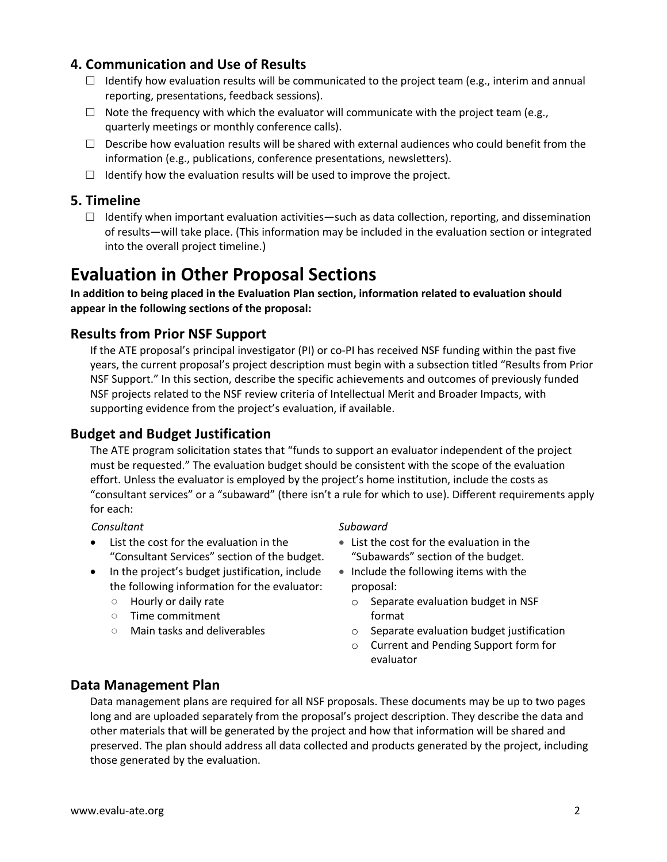## **4. Communication and Use of Results**

- $\Box$  Identify how evaluation results will be communicated to the project team (e.g., interim and annual reporting, presentations, feedback sessions).
- $\Box$  Note the frequency with which the evaluator will communicate with the project team (e.g., quarterly meetings or monthly conference calls).
- $\square$  Describe how evaluation results will be shared with external audiences who could benefit from the information (e.g., publications, conference presentations, newsletters).
- $\Box$  Identify how the evaluation results will be used to improve the project.

#### **5. Timeline**

 $\Box$  Identify when important evaluation activities—such as data collection, reporting, and dissemination of results—will take place. (This information may be included in the evaluation section or integrated into the overall project timeline.)

## **Evaluation in Other Proposal Sections**

**In addition to being placed in the Evaluation Plan section, information related to evaluation should appear in the following sections of the proposal:**

## **Results from Prior NSF Support**

If the ATE proposal's principal investigator (PI) or co-PI has received NSF funding within the past five years, the current proposal's project description must begin with a subsection titled "Results from Prior NSF Support." In this section, describe the specific achievements and outcomes of previously funded NSF projects related to the NSF review criteria of Intellectual Merit and Broader Impacts, with supporting evidence from the project's evaluation, if available.

## **Budget and Budget Justification**

The ATE program solicitation states that "funds to support an evaluator independent of the project must be requested." The evaluation budget should be consistent with the scope of the evaluation effort. Unless the evaluator is employed by the project's home institution, include the costs as "consultant services" or a "subaward" (there isn't a rule for which to use). Different requirements apply for each:

#### *Consultant Subaward*

- List the cost for the evaluation in the "Consultant Services" section of the budget.
- In the project's budget justification, include the following information for the evaluator:
	- Hourly or daily rate
	- Time commitment
	- Main tasks and deliverables

- List the cost for the evaluation in the "Subawards" section of the budget.
- Include the following items with the proposal:
	- o Separate evaluation budget in NSF format
	- o Separate evaluation budget justification
	- o Current and Pending Support form for evaluator

## **Data Management Plan**

Data management plans are required for all NSF proposals. These documents may be up to two pages long and are uploaded separately from the proposal's project description. They describe the data and other materials that will be generated by the project and how that information will be shared and preserved. The plan should address all data collected and products generated by the project, including those generated by the evaluation.